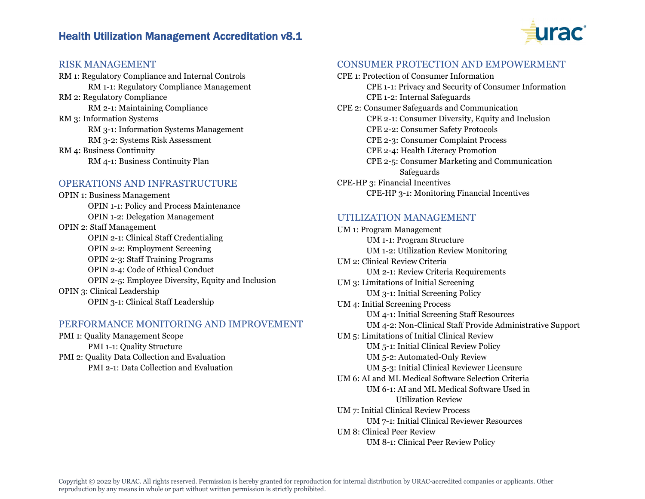# Health Utilization Management Accreditation v8.1



## RISK MANAGEMENT

RM 1: Regulatory Compliance and Internal Controls RM 1-1: Regulatory Compliance Management RM 2: Regulatory Compliance RM 2-1: Maintaining Compliance RM 3: Information Systems RM 3-1: Information Systems Management RM 3-2: Systems Risk Assessment RM 4: Business Continuity RM 4-1: Business Continuity Plan

### OPERATIONS AND INFRASTRUCTURE

OPIN 1: Business Management OPIN 1-1: Policy and Process Maintenance OPIN 1-2: Delegation Management OPIN 2: Staff Management OPIN 2-1: Clinical Staff Credentialing OPIN 2-2: Employment Screening OPIN 2-3: Staff Training Programs OPIN 2-4: Code of Ethical Conduct OPIN 2-5: Employee Diversity, Equity and Inclusion OPIN 3: Clinical Leadership OPIN 3-1: Clinical Staff Leadership

#### PERFORMANCE MONITORING AND IMPROVEMENT

PMI 1: Quality Management Scope PMI 1-1: Quality Structure PMI 2: Quality Data Collection and Evaluation PMI 2-1: Data Collection and Evaluation

#### CONSUMER PROTECTION AND EMPOWERMENT

| CPE 1: Protection of Consumer Information             |
|-------------------------------------------------------|
| CPE 1-1: Privacy and Security of Consumer Information |
| CPE 1-2: Internal Safeguards                          |
| CPE 2: Consumer Safeguards and Communication          |
| CPE 2-1: Consumer Diversity, Equity and Inclusion     |
| CPE 2-2: Consumer Safety Protocols                    |
| CPE 2-3: Consumer Complaint Process                   |
| CPE 2-4: Health Literacy Promotion                    |
| CPE 2-5: Consumer Marketing and Communication         |
| Safeguards                                            |
| CPE-HP 3: Financial Incentives                        |
| CPE-HP 3-1: Monitoring Financial Incentives           |

## UTILIZATION MANAGEMENT

UM 1: Program Management UM 1-1: Program Structure UM 1-2: Utilization Review Monitoring UM 2: Clinical Review Criteria UM 2-1: Review Criteria Requirements UM 3: Limitations of Initial Screening UM 3-1: Initial Screening Policy UM 4: Initial Screening Process UM 4-1: Initial Screening Staff Resources UM 4-2: Non-Clinical Staff Provide Administrative Support UM 5: Limitations of Initial Clinical Review UM 5-1: Initial Clinical Review Policy UM 5-2: Automated-Only Review UM 5-3: Initial Clinical Reviewer Licensure UM 6: AI and ML Medical Software Selection Criteria UM 6-1: AI and ML Medical Software Used in Utilization Review UM 7: Initial Clinical Review Process UM 7-1: Initial Clinical Reviewer Resources UM 8: Clinical Peer Review UM 8-1: Clinical Peer Review Policy